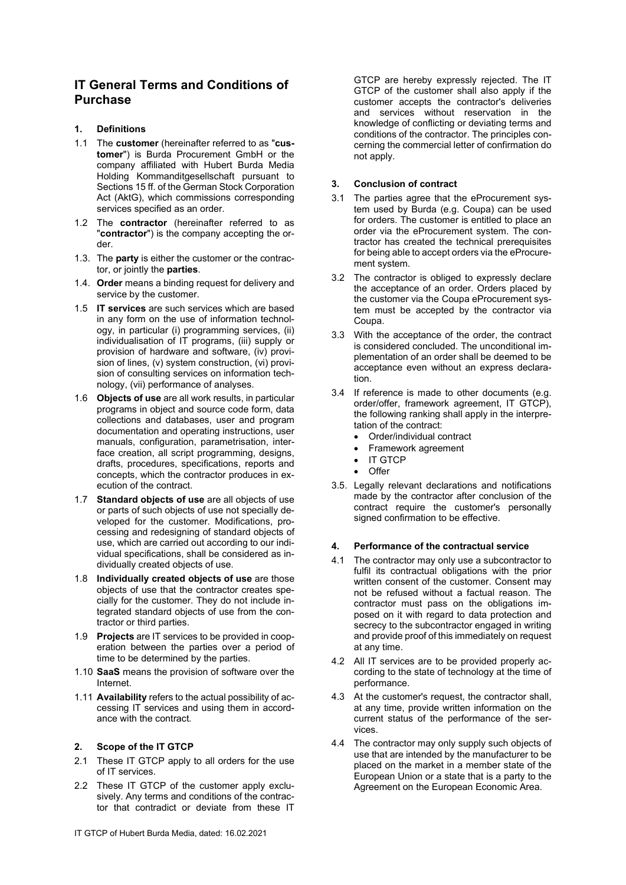# IT General Terms and Conditions of Purchase

# 1. Definitions

- 1.1 The customer (hereinafter referred to as "customer") is Burda Procurement GmbH or the company affiliated with Hubert Burda Media Holding Kommanditgesellschaft pursuant to Sections 15 ff. of the German Stock Corporation Act (AktG), which commissions corresponding services specified as an order.
- 1.2 The contractor (hereinafter referred to as "contractor") is the company accepting the order.
- 1.3. The party is either the customer or the contractor, or jointly the parties.
- 1.4. Order means a binding request for delivery and service by the customer.
- 1.5 IT services are such services which are based in any form on the use of information technology, in particular (i) programming services, (ii) individualisation of IT programs, (iii) supply or provision of hardware and software, (iv) provision of lines, (v) system construction, (vi) provision of consulting services on information technology, (vii) performance of analyses.
- 1.6 Objects of use are all work results, in particular programs in object and source code form, data collections and databases, user and program documentation and operating instructions, user manuals, configuration, parametrisation, interface creation, all script programming, designs, drafts, procedures, specifications, reports and concepts, which the contractor produces in execution of the contract.
- 1.7 Standard objects of use are all objects of use or parts of such objects of use not specially developed for the customer. Modifications, processing and redesigning of standard objects of use, which are carried out according to our individual specifications, shall be considered as individually created objects of use.
- 1.8 Individually created objects of use are those objects of use that the contractor creates specially for the customer. They do not include integrated standard objects of use from the contractor or third parties.
- 1.9 Projects are IT services to be provided in cooperation between the parties over a period of time to be determined by the parties.
- 1.10 SaaS means the provision of software over the Internet.
- 1.11 Availability refers to the actual possibility of accessing IT services and using them in accordance with the contract.

#### 2. Scope of the IT GTCP

- 2.1 These IT GTCP apply to all orders for the use of IT services.
- 2.2 These IT GTCP of the customer apply exclusively. Any terms and conditions of the contractor that contradict or deviate from these IT

GTCP are hereby expressly rejected. The IT GTCP of the customer shall also apply if the customer accepts the contractor's deliveries and services without reservation in the knowledge of conflicting or deviating terms and conditions of the contractor. The principles concerning the commercial letter of confirmation do not apply.

#### 3. Conclusion of contract

- 3.1 The parties agree that the eProcurement system used by Burda (e.g. Coupa) can be used for orders. The customer is entitled to place an order via the eProcurement system. The contractor has created the technical prerequisites for being able to accept orders via the eProcurement system.
- 3.2 The contractor is obliged to expressly declare the acceptance of an order. Orders placed by the customer via the Coupa eProcurement system must be accepted by the contractor via Coupa.
- 3.3 With the acceptance of the order, the contract is considered concluded. The unconditional implementation of an order shall be deemed to be acceptance even without an express declaration.
- 3.4 If reference is made to other documents (e.g. order/offer, framework agreement, IT GTCP), the following ranking shall apply in the interpretation of the contract:
	- Order/individual contract
	- Framework agreement
	- IT GTCP
	- $\bigcap_{i=1}^{n}$
- 3.5. Legally relevant declarations and notifications made by the contractor after conclusion of the contract require the customer's personally signed confirmation to be effective.

# 4. Performance of the contractual service

- 4.1 The contractor may only use a subcontractor to fulfil its contractual obligations with the prior written consent of the customer. Consent may not be refused without a factual reason. The contractor must pass on the obligations imposed on it with regard to data protection and secrecy to the subcontractor engaged in writing and provide proof of this immediately on request at any time.
- 4.2 All IT services are to be provided properly according to the state of technology at the time of performance.
- 4.3 At the customer's request, the contractor shall, at any time, provide written information on the current status of the performance of the services.
- 4.4 The contractor may only supply such objects of use that are intended by the manufacturer to be placed on the market in a member state of the European Union or a state that is a party to the Agreement on the European Economic Area.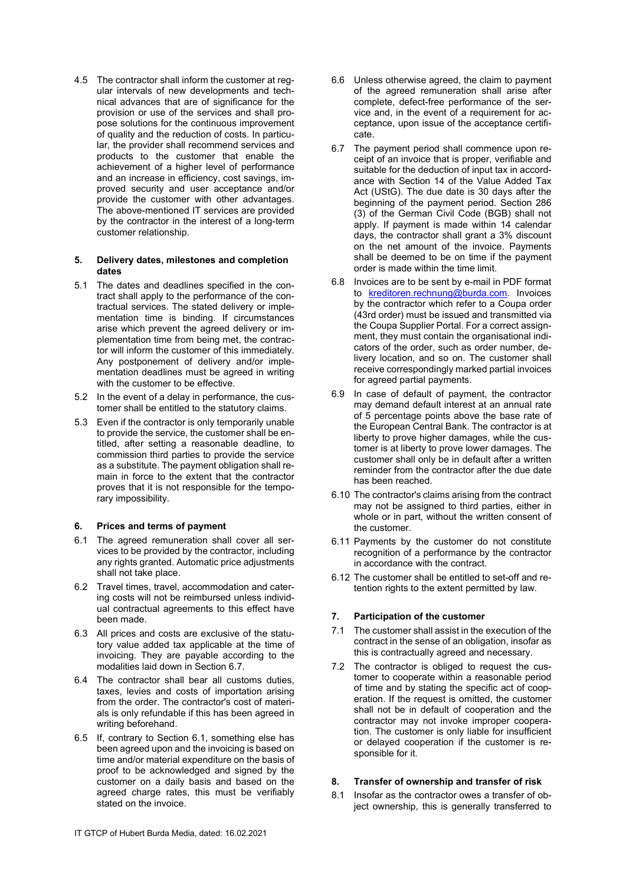4.5 The contractor shall inform the customer at regular intervals of new developments and technical advances that are of significance for the provision or use of the services and shall propose solutions for the continuous improvement of quality and the reduction of costs. In particular, the provider shall recommend services and products to the customer that enable the achievement of a higher level of performance and an increase in efficiency, cost savings, improved security and user acceptance and/or provide the customer with other advantages. The above-mentioned IT services are provided by the contractor in the interest of a long-term customer relationship.

#### 5. Delivery dates, milestones and completion dates

- 5.1 The dates and deadlines specified in the contract shall apply to the performance of the contractual services. The stated delivery or implementation time is binding. If circumstances arise which prevent the agreed delivery or implementation time from being met, the contractor will inform the customer of this immediately. Any postponement of delivery and/or implementation deadlines must be agreed in writing with the customer to be effective.
- 5.2 In the event of a delay in performance, the customer shall be entitled to the statutory claims.
- 5.3 Even if the contractor is only temporarily unable to provide the service, the customer shall be entitled, after setting a reasonable deadline, to commission third parties to provide the service as a substitute. The payment obligation shall remain in force to the extent that the contractor proves that it is not responsible for the temporary impossibility.

#### 6. Prices and terms of payment

- 6.1 The agreed remuneration shall cover all services to be provided by the contractor, including any rights granted. Automatic price adjustments shall not take place.
- 6.2 Travel times, travel, accommodation and catering costs will not be reimbursed unless individual contractual agreements to this effect have been made.
- 6.3 All prices and costs are exclusive of the statutory value added tax applicable at the time of invoicing. They are payable according to the modalities laid down in Section 6.7.
- 6.4 The contractor shall bear all customs duties, taxes, levies and costs of importation arising from the order. The contractor's cost of materials is only refundable if this has been agreed in writing beforehand.
- 6.5 If, contrary to Section 6.1, something else has been agreed upon and the invoicing is based on time and/or material expenditure on the basis of proof to be acknowledged and signed by the customer on a daily basis and based on the agreed charge rates, this must be verifiably stated on the invoice.
- 6.6 Unless otherwise agreed, the claim to payment of the agreed remuneration shall arise after complete, defect-free performance of the service and, in the event of a requirement for acceptance, upon issue of the acceptance certificate.
- 6.7 The payment period shall commence upon receipt of an invoice that is proper, verifiable and suitable for the deduction of input tax in accordance with Section 14 of the Value Added Tax Act (UStG). The due date is 30 days after the beginning of the payment period. Section 286 (3) of the German Civil Code (BGB) shall not apply. If payment is made within 14 calendar days, the contractor shall grant a 3% discount on the net amount of the invoice. Payments shall be deemed to be on time if the payment order is made within the time limit.
- 6.8 Invoices are to be sent by e-mail in PDF format to kreditoren.rechnung@burda.com. Invoices by the contractor which refer to a Coupa order (43rd order) must be issued and transmitted via the Coupa Supplier Portal. For a correct assignment, they must contain the organisational indicators of the order, such as order number, delivery location, and so on. The customer shall receive correspondingly marked partial invoices for agreed partial payments.
- 6.9 In case of default of payment, the contractor may demand default interest at an annual rate of 5 percentage points above the base rate of the European Central Bank. The contractor is at liberty to prove higher damages, while the customer is at liberty to prove lower damages. The customer shall only be in default after a written reminder from the contractor after the due date has been reached.
- 6.10 The contractor's claims arising from the contract may not be assigned to third parties, either in whole or in part, without the written consent of the customer.
- 6.11 Payments by the customer do not constitute recognition of a performance by the contractor in accordance with the contract.
- 6.12 The customer shall be entitled to set-off and retention rights to the extent permitted by law.

# 7. Participation of the customer

- 7.1 The customer shall assist in the execution of the contract in the sense of an obligation, insofar as this is contractually agreed and necessary.
- 7.2 The contractor is obliged to request the customer to cooperate within a reasonable period of time and by stating the specific act of cooperation. If the request is omitted, the customer shall not be in default of cooperation and the contractor may not invoke improper cooperation. The customer is only liable for insufficient or delayed cooperation if the customer is responsible for it.

# 8. Transfer of ownership and transfer of risk

8.1 Insofar as the contractor owes a transfer of object ownership, this is generally transferred to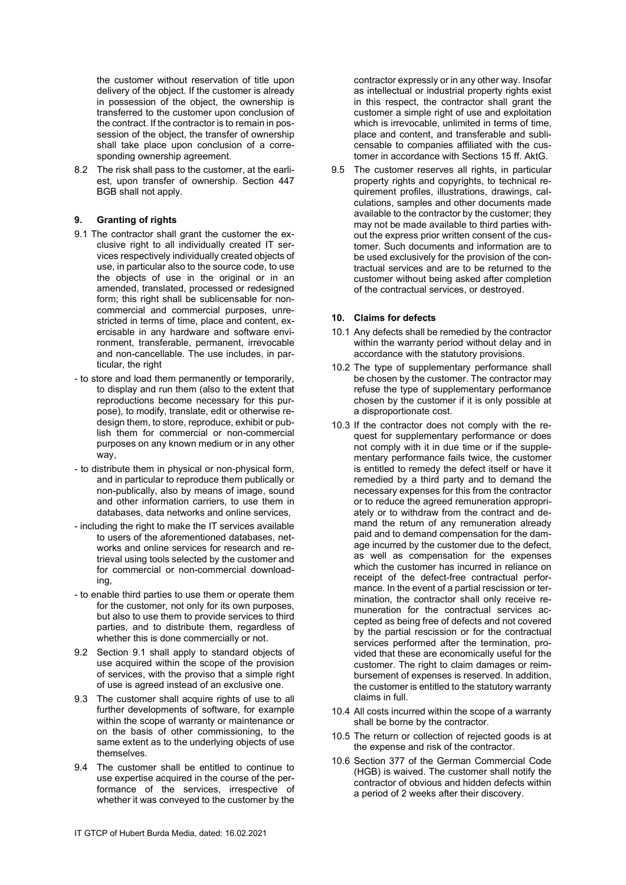the customer without reservation of title upon delivery of the object. If the customer is already in possession of the object, the ownership is transferred to the customer upon conclusion of the contract. If the contractor is to remain in possession of the object, the transfer of ownership shall take place upon conclusion of a corresponding ownership agreement.

8.2 The risk shall pass to the customer, at the earliest, upon transfer of ownership. Section 447 BGB shall not apply.

### 9. Granting of rights

- 9.1 The contractor shall grant the customer the exclusive right to all individually created IT services respectively individually created objects of use, in particular also to the source code, to use the objects of use in the original or in an amended, translated, processed or redesigned form; this right shall be sublicensable for noncommercial and commercial purposes, unrestricted in terms of time, place and content, exercisable in any hardware and software environment, transferable, permanent, irrevocable and non-cancellable. The use includes, in particular, the right
- to store and load them permanently or temporarily, to display and run them (also to the extent that reproductions become necessary for this purpose), to modify, translate, edit or otherwise redesign them, to store, reproduce, exhibit or publish them for commercial or non-commercial purposes on any known medium or in any other way,
- to distribute them in physical or non-physical form, and in particular to reproduce them publically or non-publically, also by means of image, sound and other information carriers, to use them in databases, data networks and online services,
- including the right to make the IT services available to users of the aforementioned databases, networks and online services for research and retrieval using tools selected by the customer and for commercial or non-commercial downloading,
- to enable third parties to use them or operate them for the customer, not only for its own purposes, but also to use them to provide services to third parties, and to distribute them, regardless of whether this is done commercially or not.
- 9.2 Section 9.1 shall apply to standard objects of use acquired within the scope of the provision of services, with the proviso that a simple right of use is agreed instead of an exclusive one.
- 9.3 The customer shall acquire rights of use to all further developments of software, for example within the scope of warranty or maintenance or on the basis of other commissioning, to the same extent as to the underlying objects of use themselves.
- 9.4 The customer shall be entitled to continue to use expertise acquired in the course of the performance of the services, irrespective of whether it was conveyed to the customer by the

contractor expressly or in any other way. Insofar as intellectual or industrial property rights exist in this respect, the contractor shall grant the customer a simple right of use and exploitation which is irrevocable, unlimited in terms of time, place and content, and transferable and sublicensable to companies affiliated with the customer in accordance with Sections 15 ff. AktG.

9.5 The customer reserves all rights, in particular property rights and copyrights, to technical requirement profiles, illustrations, drawings, calculations, samples and other documents made available to the contractor by the customer; they may not be made available to third parties without the express prior written consent of the customer. Such documents and information are to be used exclusively for the provision of the contractual services and are to be returned to the customer without being asked after completion of the contractual services, or destroyed.

#### 10. Claims for defects

- 10.1 Any defects shall be remedied by the contractor within the warranty period without delay and in accordance with the statutory provisions.
- 10.2 The type of supplementary performance shall be chosen by the customer. The contractor may refuse the type of supplementary performance chosen by the customer if it is only possible at a disproportionate cost.
- 10.3 If the contractor does not comply with the request for supplementary performance or does not comply with it in due time or if the supplementary performance fails twice, the customer is entitled to remedy the defect itself or have it remedied by a third party and to demand the necessary expenses for this from the contractor or to reduce the agreed remuneration appropriately or to withdraw from the contract and demand the return of any remuneration already paid and to demand compensation for the damage incurred by the customer due to the defect, as well as compensation for the expenses which the customer has incurred in reliance on receipt of the defect-free contractual performance. In the event of a partial rescission or termination, the contractor shall only receive remuneration for the contractual services accepted as being free of defects and not covered by the partial rescission or for the contractual services performed after the termination, provided that these are economically useful for the customer. The right to claim damages or reimbursement of expenses is reserved. In addition, the customer is entitled to the statutory warranty claims in full.
- 10.4 All costs incurred within the scope of a warranty shall be borne by the contractor.
- 10.5 The return or collection of rejected goods is at the expense and risk of the contractor.
- 10.6 Section 377 of the German Commercial Code (HGB) is waived. The customer shall notify the contractor of obvious and hidden defects within a period of 2 weeks after their discovery.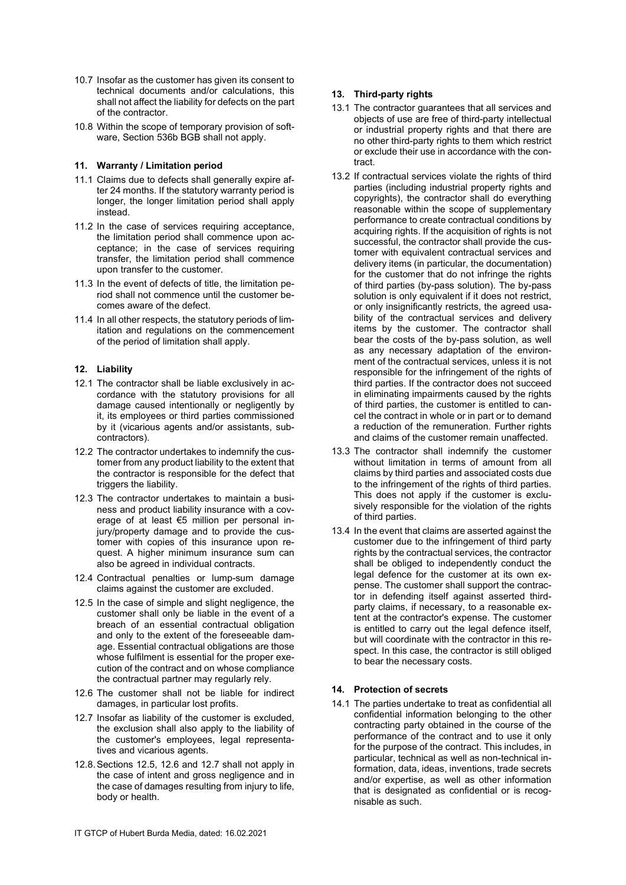- 10.7 Insofar as the customer has given its consent to technical documents and/or calculations, this shall not affect the liability for defects on the part of the contractor.
- 10.8 Within the scope of temporary provision of software, Section 536b BGB shall not apply.

### 11. Warranty / Limitation period

- 11.1 Claims due to defects shall generally expire after 24 months. If the statutory warranty period is longer, the longer limitation period shall apply instead.
- 11.2 In the case of services requiring acceptance, the limitation period shall commence upon acceptance; in the case of services requiring transfer, the limitation period shall commence upon transfer to the customer.
- 11.3 In the event of defects of title, the limitation period shall not commence until the customer becomes aware of the defect.
- 11.4 In all other respects, the statutory periods of limitation and regulations on the commencement of the period of limitation shall apply.

### 12. Liability

- 12.1 The contractor shall be liable exclusively in accordance with the statutory provisions for all damage caused intentionally or negligently by it, its employees or third parties commissioned by it (vicarious agents and/or assistants, subcontractors).
- 12.2 The contractor undertakes to indemnify the customer from any product liability to the extent that the contractor is responsible for the defect that triggers the liability.
- 12.3 The contractor undertakes to maintain a business and product liability insurance with a coverage of at least €5 million per personal injury/property damage and to provide the customer with copies of this insurance upon request. A higher minimum insurance sum can also be agreed in individual contracts.
- 12.4 Contractual penalties or lump-sum damage claims against the customer are excluded.
- 12.5 In the case of simple and slight negligence, the customer shall only be liable in the event of a breach of an essential contractual obligation and only to the extent of the foreseeable damage. Essential contractual obligations are those whose fulfilment is essential for the proper execution of the contract and on whose compliance the contractual partner may regularly rely.
- 12.6 The customer shall not be liable for indirect damages, in particular lost profits.
- 12.7 Insofar as liability of the customer is excluded, the exclusion shall also apply to the liability of the customer's employees, legal representatives and vicarious agents.
- 12.8. Sections 12.5, 12.6 and 12.7 shall not apply in the case of intent and gross negligence and in the case of damages resulting from injury to life, body or health.

# 13. Third-party rights

- 13.1 The contractor guarantees that all services and objects of use are free of third-party intellectual or industrial property rights and that there are no other third-party rights to them which restrict or exclude their use in accordance with the contract.
- 13.2 If contractual services violate the rights of third parties (including industrial property rights and copyrights), the contractor shall do everything reasonable within the scope of supplementary performance to create contractual conditions by acquiring rights. If the acquisition of rights is not successful, the contractor shall provide the customer with equivalent contractual services and delivery items (in particular, the documentation) for the customer that do not infringe the rights of third parties (by-pass solution). The by-pass solution is only equivalent if it does not restrict, or only insignificantly restricts, the agreed usability of the contractual services and delivery items by the customer. The contractor shall bear the costs of the by-pass solution, as well as any necessary adaptation of the environment of the contractual services, unless it is not responsible for the infringement of the rights of third parties. If the contractor does not succeed in eliminating impairments caused by the rights of third parties, the customer is entitled to cancel the contract in whole or in part or to demand a reduction of the remuneration. Further rights and claims of the customer remain unaffected.
- 13.3 The contractor shall indemnify the customer without limitation in terms of amount from all claims by third parties and associated costs due to the infringement of the rights of third parties. This does not apply if the customer is exclusively responsible for the violation of the rights of third parties.
- 13.4 In the event that claims are asserted against the customer due to the infringement of third party rights by the contractual services, the contractor shall be obliged to independently conduct the legal defence for the customer at its own expense. The customer shall support the contractor in defending itself against asserted thirdparty claims, if necessary, to a reasonable extent at the contractor's expense. The customer is entitled to carry out the legal defence itself, but will coordinate with the contractor in this respect. In this case, the contractor is still obliged to bear the necessary costs.

# 14. Protection of secrets

14.1 The parties undertake to treat as confidential all confidential information belonging to the other contracting party obtained in the course of the performance of the contract and to use it only for the purpose of the contract. This includes, in particular, technical as well as non-technical information, data, ideas, inventions, trade secrets and/or expertise, as well as other information that is designated as confidential or is recognisable as such.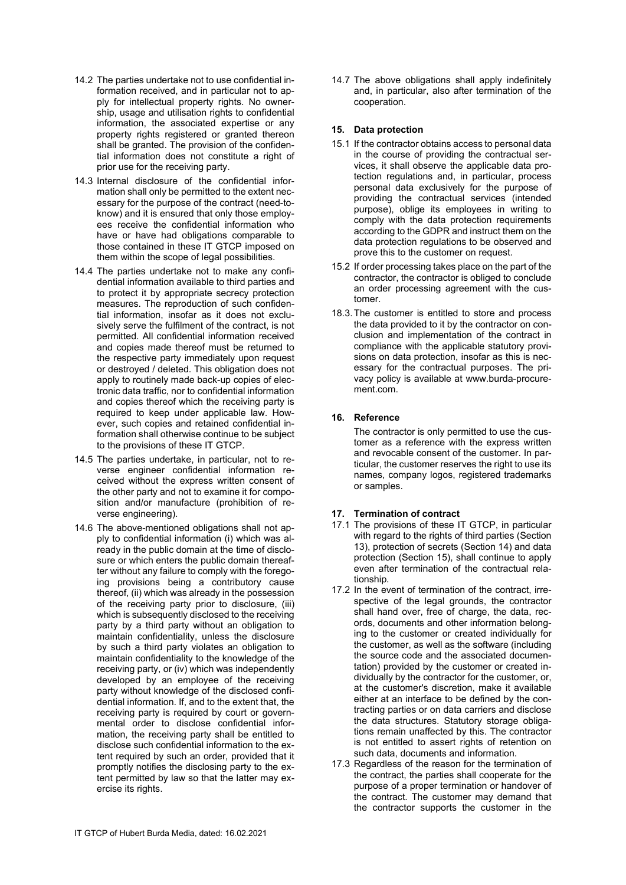- 14.2 The parties undertake not to use confidential information received, and in particular not to apply for intellectual property rights. No ownership, usage and utilisation rights to confidential information, the associated expertise or any property rights registered or granted thereon shall be granted. The provision of the confidential information does not constitute a right of prior use for the receiving party.
- 14.3 Internal disclosure of the confidential information shall only be permitted to the extent necessary for the purpose of the contract (need-toknow) and it is ensured that only those employees receive the confidential information who have or have had obligations comparable to those contained in these IT GTCP imposed on them within the scope of legal possibilities.
- 14.4 The parties undertake not to make any confidential information available to third parties and to protect it by appropriate secrecy protection measures. The reproduction of such confidential information, insofar as it does not exclusively serve the fulfilment of the contract, is not permitted. All confidential information received and copies made thereof must be returned to the respective party immediately upon request or destroyed / deleted. This obligation does not apply to routinely made back-up copies of electronic data traffic, nor to confidential information and copies thereof which the receiving party is required to keep under applicable law. However, such copies and retained confidential information shall otherwise continue to be subject to the provisions of these IT GTCP.
- 14.5 The parties undertake, in particular, not to reverse engineer confidential information received without the express written consent of the other party and not to examine it for composition and/or manufacture (prohibition of reverse engineering).
- 14.6 The above-mentioned obligations shall not apply to confidential information (i) which was already in the public domain at the time of disclosure or which enters the public domain thereafter without any failure to comply with the foregoing provisions being a contributory cause thereof, (ii) which was already in the possession of the receiving party prior to disclosure, (iii) which is subsequently disclosed to the receiving party by a third party without an obligation to maintain confidentiality, unless the disclosure by such a third party violates an obligation to maintain confidentiality to the knowledge of the receiving party, or (iv) which was independently developed by an employee of the receiving party without knowledge of the disclosed confidential information. If, and to the extent that, the receiving party is required by court or governmental order to disclose confidential information, the receiving party shall be entitled to disclose such confidential information to the extent required by such an order, provided that it promptly notifies the disclosing party to the extent permitted by law so that the latter may exercise its rights.

14.7 The above obligations shall apply indefinitely and, in particular, also after termination of the cooperation.

### 15. Data protection

- 15.1 If the contractor obtains access to personal data in the course of providing the contractual services, it shall observe the applicable data protection regulations and, in particular, process personal data exclusively for the purpose of providing the contractual services (intended purpose), oblige its employees in writing to comply with the data protection requirements according to the GDPR and instruct them on the data protection regulations to be observed and prove this to the customer on request.
- 15.2 If order processing takes place on the part of the contractor, the contractor is obliged to conclude an order processing agreement with the customer.
- 18.3. The customer is entitled to store and process the data provided to it by the contractor on conclusion and implementation of the contract in compliance with the applicable statutory provisions on data protection, insofar as this is necessary for the contractual purposes. The privacy policy is available at www.burda-procurement.com.

# 16. Reference

The contractor is only permitted to use the customer as a reference with the express written and revocable consent of the customer. In particular, the customer reserves the right to use its names, company logos, registered trademarks or samples.

# 17. Termination of contract

- 17.1 The provisions of these IT GTCP, in particular with regard to the rights of third parties (Section 13), protection of secrets (Section 14) and data protection (Section 15), shall continue to apply even after termination of the contractual relationship.
- 17.2 In the event of termination of the contract, irrespective of the legal grounds, the contractor shall hand over, free of charge, the data, records, documents and other information belonging to the customer or created individually for the customer, as well as the software (including the source code and the associated documentation) provided by the customer or created individually by the contractor for the customer, or, at the customer's discretion, make it available either at an interface to be defined by the contracting parties or on data carriers and disclose the data structures. Statutory storage obligations remain unaffected by this. The contractor is not entitled to assert rights of retention on such data, documents and information.
- 17.3 Regardless of the reason for the termination of the contract, the parties shall cooperate for the purpose of a proper termination or handover of the contract. The customer may demand that the contractor supports the customer in the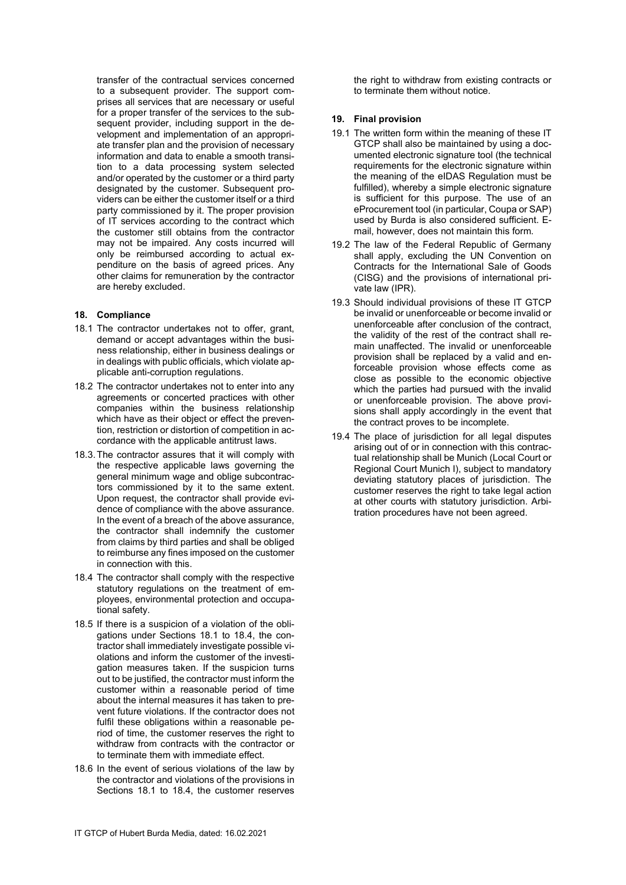transfer of the contractual services concerned to a subsequent provider. The support comprises all services that are necessary or useful for a proper transfer of the services to the subsequent provider, including support in the development and implementation of an appropriate transfer plan and the provision of necessary information and data to enable a smooth transition to a data processing system selected and/or operated by the customer or a third party designated by the customer. Subsequent providers can be either the customer itself or a third party commissioned by it. The proper provision of IT services according to the contract which the customer still obtains from the contractor may not be impaired. Any costs incurred will only be reimbursed according to actual expenditure on the basis of agreed prices. Any other claims for remuneration by the contractor are hereby excluded.

#### 18. Compliance

- 18.1 The contractor undertakes not to offer, grant, demand or accept advantages within the business relationship, either in business dealings or in dealings with public officials, which violate applicable anti-corruption regulations.
- 18.2 The contractor undertakes not to enter into any agreements or concerted practices with other companies within the business relationship which have as their object or effect the prevention, restriction or distortion of competition in accordance with the applicable antitrust laws.
- 18.3. The contractor assures that it will comply with the respective applicable laws governing the general minimum wage and oblige subcontractors commissioned by it to the same extent. Upon request, the contractor shall provide evidence of compliance with the above assurance. In the event of a breach of the above assurance, the contractor shall indemnify the customer from claims by third parties and shall be obliged to reimburse any fines imposed on the customer in connection with this.
- 18.4 The contractor shall comply with the respective statutory regulations on the treatment of employees, environmental protection and occupational safety.
- 18.5 If there is a suspicion of a violation of the obligations under Sections 18.1 to 18.4, the contractor shall immediately investigate possible violations and inform the customer of the investigation measures taken. If the suspicion turns out to be justified, the contractor must inform the customer within a reasonable period of time about the internal measures it has taken to prevent future violations. If the contractor does not fulfil these obligations within a reasonable period of time, the customer reserves the right to withdraw from contracts with the contractor or to terminate them with immediate effect.
- 18.6 In the event of serious violations of the law by the contractor and violations of the provisions in Sections 18.1 to 18.4, the customer reserves

the right to withdraw from existing contracts or to terminate them without notice.

#### 19. Final provision

- 19.1 The written form within the meaning of these IT GTCP shall also be maintained by using a documented electronic signature tool (the technical requirements for the electronic signature within the meaning of the eIDAS Regulation must be fulfilled), whereby a simple electronic signature is sufficient for this purpose. The use of an eProcurement tool (in particular, Coupa or SAP) used by Burda is also considered sufficient. Email, however, does not maintain this form.
- 19.2 The law of the Federal Republic of Germany shall apply, excluding the UN Convention on Contracts for the International Sale of Goods (CISG) and the provisions of international private law (IPR).
- 19.3 Should individual provisions of these IT GTCP be invalid or unenforceable or become invalid or unenforceable after conclusion of the contract, the validity of the rest of the contract shall remain unaffected. The invalid or unenforceable provision shall be replaced by a valid and enforceable provision whose effects come as close as possible to the economic objective which the parties had pursued with the invalid or unenforceable provision. The above provisions shall apply accordingly in the event that the contract proves to be incomplete.
- 19.4 The place of jurisdiction for all legal disputes arising out of or in connection with this contractual relationship shall be Munich (Local Court or Regional Court Munich I), subject to mandatory deviating statutory places of jurisdiction. The customer reserves the right to take legal action at other courts with statutory jurisdiction. Arbitration procedures have not been agreed.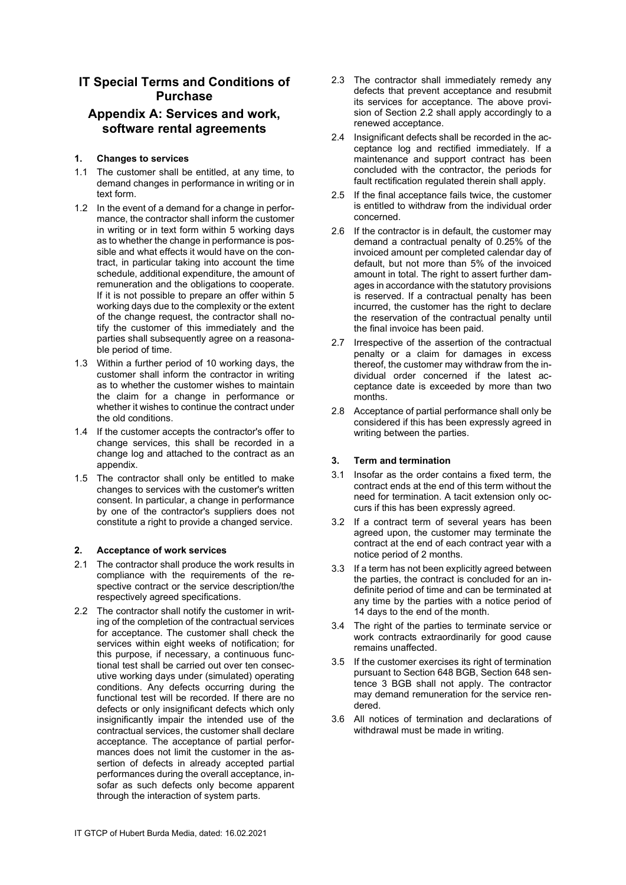# IT Special Terms and Conditions of Purchase

# Appendix A: Services and work, software rental agreements

# 1. Changes to services

- 1.1 The customer shall be entitled, at any time, to demand changes in performance in writing or in text form.
- 1.2 In the event of a demand for a change in performance, the contractor shall inform the customer in writing or in text form within 5 working days as to whether the change in performance is possible and what effects it would have on the contract, in particular taking into account the time schedule, additional expenditure, the amount of remuneration and the obligations to cooperate. If it is not possible to prepare an offer within 5 working days due to the complexity or the extent of the change request, the contractor shall notify the customer of this immediately and the parties shall subsequently agree on a reasonable period of time.
- 1.3 Within a further period of 10 working days, the customer shall inform the contractor in writing as to whether the customer wishes to maintain the claim for a change in performance or whether it wishes to continue the contract under the old conditions.
- 1.4 If the customer accepts the contractor's offer to change services, this shall be recorded in a change log and attached to the contract as an appendix.
- 1.5 The contractor shall only be entitled to make changes to services with the customer's written consent. In particular, a change in performance by one of the contractor's suppliers does not constitute a right to provide a changed service.

# 2. Acceptance of work services

- 2.1 The contractor shall produce the work results in compliance with the requirements of the respective contract or the service description/the respectively agreed specifications.
- 2.2 The contractor shall notify the customer in writing of the completion of the contractual services for acceptance. The customer shall check the services within eight weeks of notification; for this purpose, if necessary, a continuous functional test shall be carried out over ten consecutive working days under (simulated) operating conditions. Any defects occurring during the functional test will be recorded. If there are no defects or only insignificant defects which only insignificantly impair the intended use of the contractual services, the customer shall declare acceptance. The acceptance of partial performances does not limit the customer in the assertion of defects in already accepted partial performances during the overall acceptance, insofar as such defects only become apparent through the interaction of system parts.
- 2.3 The contractor shall immediately remedy any defects that prevent acceptance and resubmit its services for acceptance. The above provision of Section 2.2 shall apply accordingly to a renewed acceptance.
- 2.4 Insignificant defects shall be recorded in the acceptance log and rectified immediately. If a maintenance and support contract has been concluded with the contractor, the periods for fault rectification regulated therein shall apply.
- 2.5 If the final acceptance fails twice, the customer is entitled to withdraw from the individual order concerned.
- 2.6 If the contractor is in default, the customer may demand a contractual penalty of 0.25% of the invoiced amount per completed calendar day of default, but not more than 5% of the invoiced amount in total. The right to assert further damages in accordance with the statutory provisions is reserved. If a contractual penalty has been incurred, the customer has the right to declare the reservation of the contractual penalty until the final invoice has been paid.
- 2.7 Irrespective of the assertion of the contractual penalty or a claim for damages in excess thereof, the customer may withdraw from the individual order concerned if the latest acceptance date is exceeded by more than two months.
- 2.8 Acceptance of partial performance shall only be considered if this has been expressly agreed in writing between the parties.

# 3. Term and termination

- 3.1 Insofar as the order contains a fixed term, the contract ends at the end of this term without the need for termination. A tacit extension only occurs if this has been expressly agreed.
- 3.2 If a contract term of several years has been agreed upon, the customer may terminate the contract at the end of each contract year with a notice period of 2 months.
- 3.3 If a term has not been explicitly agreed between the parties, the contract is concluded for an indefinite period of time and can be terminated at any time by the parties with a notice period of 14 days to the end of the month.
- 3.4 The right of the parties to terminate service or work contracts extraordinarily for good cause remains unaffected.
- 3.5 If the customer exercises its right of termination pursuant to Section 648 BGB, Section 648 sentence 3 BGB shall not apply. The contractor may demand remuneration for the service rendered.
- 3.6 All notices of termination and declarations of withdrawal must be made in writing.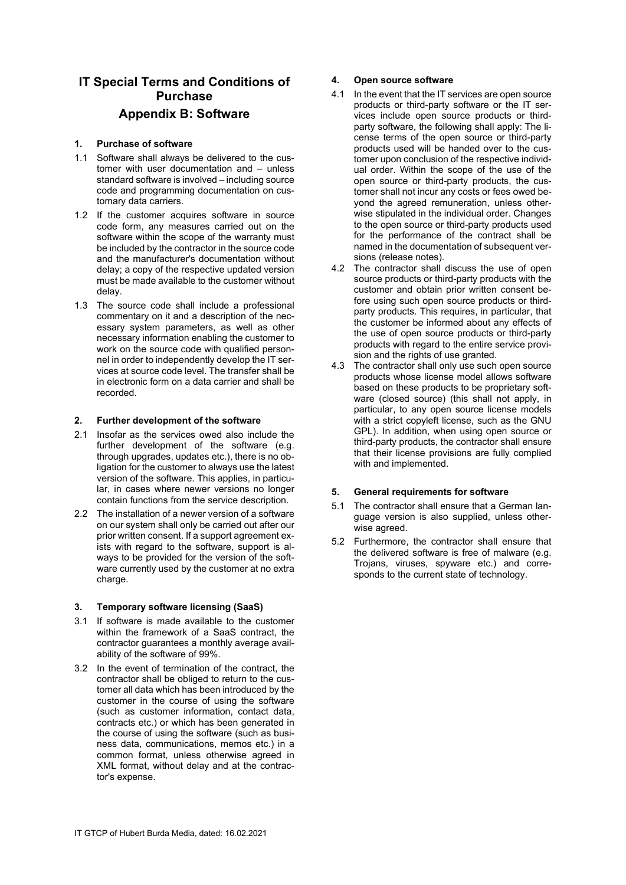# IT Special Terms and Conditions of Purchase Appendix B: Software

### 1. Purchase of software

- 1.1 Software shall always be delivered to the customer with user documentation and – unless standard software is involved – including source code and programming documentation on customary data carriers.
- 1.2 If the customer acquires software in source code form, any measures carried out on the software within the scope of the warranty must be included by the contractor in the source code and the manufacturer's documentation without delay; a copy of the respective updated version must be made available to the customer without delay.
- 1.3 The source code shall include a professional commentary on it and a description of the necessary system parameters, as well as other necessary information enabling the customer to work on the source code with qualified personnel in order to independently develop the IT services at source code level. The transfer shall be in electronic form on a data carrier and shall be recorded.

#### 2. Further development of the software

- 2.1 Insofar as the services owed also include the further development of the software (e.g. through upgrades, updates etc.), there is no obligation for the customer to always use the latest version of the software. This applies, in particular, in cases where newer versions no longer contain functions from the service description.
- 2.2 The installation of a newer version of a software on our system shall only be carried out after our prior written consent. If a support agreement exists with regard to the software, support is always to be provided for the version of the software currently used by the customer at no extra charge.

#### 3. Temporary software licensing (SaaS)

- 3.1 If software is made available to the customer within the framework of a SaaS contract, the contractor guarantees a monthly average availability of the software of 99%.
- 3.2 In the event of termination of the contract, the contractor shall be obliged to return to the customer all data which has been introduced by the customer in the course of using the software (such as customer information, contact data, contracts etc.) or which has been generated in the course of using the software (such as business data, communications, memos etc.) in a common format, unless otherwise agreed in XML format, without delay and at the contractor's expense.

# 4. Open source software

- 4.1 In the event that the IT services are open source products or third-party software or the IT services include open source products or thirdparty software, the following shall apply: The license terms of the open source or third-party products used will be handed over to the customer upon conclusion of the respective individual order. Within the scope of the use of the open source or third-party products, the customer shall not incur any costs or fees owed beyond the agreed remuneration, unless otherwise stipulated in the individual order. Changes to the open source or third-party products used for the performance of the contract shall be named in the documentation of subsequent versions (release notes).
- 4.2 The contractor shall discuss the use of open source products or third-party products with the customer and obtain prior written consent before using such open source products or thirdparty products. This requires, in particular, that the customer be informed about any effects of the use of open source products or third-party products with regard to the entire service provision and the rights of use granted.
- 4.3 The contractor shall only use such open source products whose license model allows software based on these products to be proprietary software (closed source) (this shall not apply, in particular, to any open source license models with a strict copyleft license, such as the GNU GPL). In addition, when using open source or third-party products, the contractor shall ensure that their license provisions are fully complied with and implemented.

# 5. General requirements for software

- 5.1 The contractor shall ensure that a German language version is also supplied, unless otherwise agreed.
- 5.2 Furthermore, the contractor shall ensure that the delivered software is free of malware (e.g. Trojans, viruses, spyware etc.) and corresponds to the current state of technology.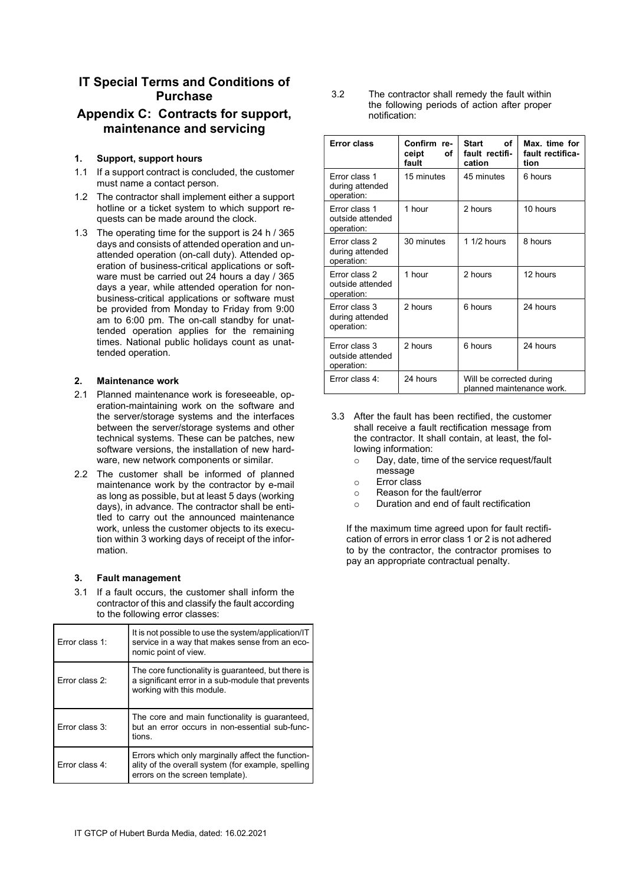# IT Special Terms and Conditions of Purchase

# Appendix C: Contracts for support, maintenance and servicing

### 1. Support, support hours

- 1.1 If a support contract is concluded, the customer must name a contact person.
- 1.2 The contractor shall implement either a support hotline or a ticket system to which support requests can be made around the clock.
- 1.3 The operating time for the support is 24 h / 365 days and consists of attended operation and unattended operation (on-call duty). Attended operation of business-critical applications or software must be carried out 24 hours a day / 365 days a year, while attended operation for nonbusiness-critical applications or software must be provided from Monday to Friday from 9:00 am to 6:00 pm. The on-call standby for unattended operation applies for the remaining times. National public holidays count as unattended operation.

#### 2. Maintenance work

- 2.1 Planned maintenance work is foreseeable, operation-maintaining work on the software and the server/storage systems and the interfaces between the server/storage systems and other technical systems. These can be patches, new software versions, the installation of new hardware, new network components or similar.
- 2.2 The customer shall be informed of planned maintenance work by the contractor by e-mail as long as possible, but at least 5 days (working days), in advance. The contractor shall be entitled to carry out the announced maintenance work, unless the customer objects to its execution within 3 working days of receipt of the information.

# 3. Fault management

3.1 If a fault occurs, the customer shall inform the contractor of this and classify the fault according to the following error classes:

| Frror class 1: | It is not possible to use the system/application/IT<br>service in a way that makes sense from an eco-<br>nomic point of view.              |  |
|----------------|--------------------------------------------------------------------------------------------------------------------------------------------|--|
| Frror class 2: | The core functionality is guaranteed, but there is<br>a significant error in a sub-module that prevents<br>working with this module.       |  |
| Frror class 3: | The core and main functionality is guaranteed,<br>but an error occurs in non-essential sub-func-<br>tions.                                 |  |
| Error class 4: | Errors which only marginally affect the function-<br>ality of the overall system (for example, spelling<br>errors on the screen template). |  |

3.2 The contractor shall remedy the fault within the following periods of action after proper notification:

| <b>Error class</b>                              | Confirm re-<br>ceipt<br>οf<br>fault | <b>Start</b><br>οf<br>fault rectifi-<br>cation        | Max, time for<br>fault rectifica-<br>tion |
|-------------------------------------------------|-------------------------------------|-------------------------------------------------------|-------------------------------------------|
| Frror class 1<br>during attended<br>operation:  | 15 minutes                          | 45 minutes                                            | 6 hours                                   |
| Error class 1<br>outside attended<br>operation: | 1 hour                              | 2 hours                                               | 10 hours                                  |
| Frror class 2<br>during attended<br>operation:  | 30 minutes                          | $11/2$ hours                                          | 8 hours                                   |
| Error class 2<br>outside attended<br>operation: | 1 hour                              | 2 hours                                               | 12 hours                                  |
| Error class 3<br>during attended<br>operation:  | 2 hours                             | 6 hours                                               | 24 hours                                  |
| Frror class 3<br>outside attended<br>operation: | 2 hours                             | 6 hours                                               | 24 hours                                  |
| Frror class 4:                                  | 24 hours                            | Will be corrected during<br>planned maintenance work. |                                           |

- 3.3 After the fault has been rectified, the customer shall receive a fault rectification message from the contractor. It shall contain, at least, the following information:
	- o Day, date, time of the service request/fault message
	- o Error class
	- o Reason for the fault/error
	- o Duration and end of fault rectification

If the maximum time agreed upon for fault rectification of errors in error class 1 or 2 is not adhered to by the contractor, the contractor promises to pay an appropriate contractual penalty.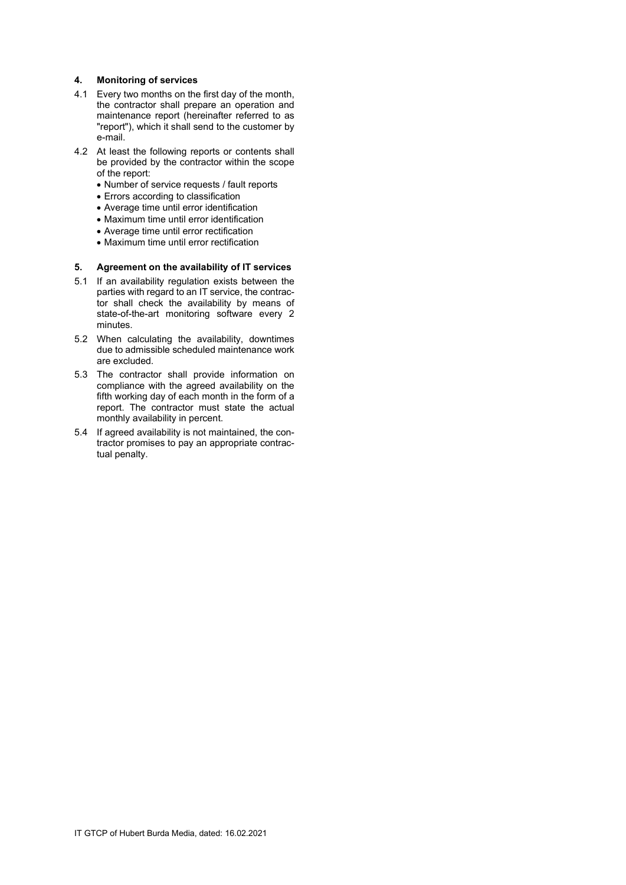### 4. Monitoring of services

- 4.1 Every two months on the first day of the month, the contractor shall prepare an operation and maintenance report (hereinafter referred to as "report"), which it shall send to the customer by e-mail.
- 4.2 At least the following reports or contents shall be provided by the contractor within the scope of the report:
	- Number of service requests / fault reports
	- Errors according to classification
	- Average time until error identification
	- Maximum time until error identification
	- Average time until error rectification
	- Maximum time until error rectification

#### 5. Agreement on the availability of IT services

- 5.1 If an availability regulation exists between the parties with regard to an IT service, the contractor shall check the availability by means of state-of-the-art monitoring software every 2 minutes.
- 5.2 When calculating the availability, downtimes due to admissible scheduled maintenance work are excluded.
- 5.3 The contractor shall provide information on compliance with the agreed availability on the fifth working day of each month in the form of a report. The contractor must state the actual monthly availability in percent.
- 5.4 If agreed availability is not maintained, the contractor promises to pay an appropriate contractual penalty.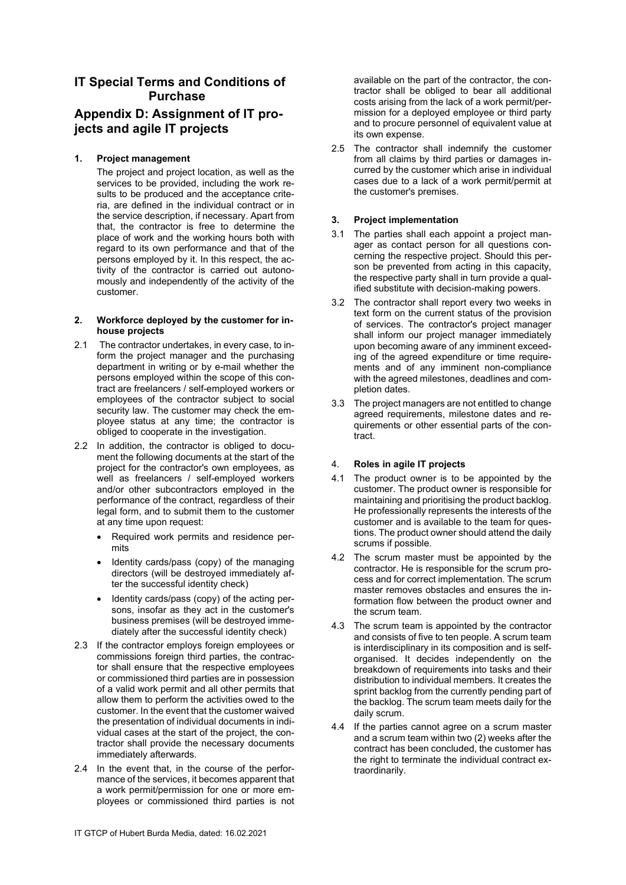# IT Special Terms and Conditions of Purchase

# Appendix D: Assignment of IT projects and agile IT projects

# 1. Project management

The project and project location, as well as the services to be provided, including the work results to be produced and the acceptance criteria, are defined in the individual contract or in the service description, if necessary. Apart from that, the contractor is free to determine the place of work and the working hours both with regard to its own performance and that of the persons employed by it. In this respect, the activity of the contractor is carried out autonomously and independently of the activity of the customer.

#### 2. Workforce deployed by the customer for inhouse projects

- 2.1 The contractor undertakes, in every case, to inform the project manager and the purchasing department in writing or by e-mail whether the persons employed within the scope of this contract are freelancers / self-employed workers or employees of the contractor subject to social security law. The customer may check the employee status at any time; the contractor is obliged to cooperate in the investigation.
- 2.2 In addition, the contractor is obliged to document the following documents at the start of the project for the contractor's own employees, as well as freelancers / self-employed workers and/or other subcontractors employed in the performance of the contract, regardless of their legal form, and to submit them to the customer at any time upon request:
	- Required work permits and residence permits
	- Identity cards/pass (copy) of the managing directors (will be destroyed immediately after the successful identity check)
	- Identity cards/pass (copy) of the acting persons, insofar as they act in the customer's business premises (will be destroyed immediately after the successful identity check)
- 2.3 If the contractor employs foreign employees or commissions foreign third parties, the contractor shall ensure that the respective employees or commissioned third parties are in possession of a valid work permit and all other permits that allow them to perform the activities owed to the customer. In the event that the customer waived the presentation of individual documents in individual cases at the start of the project, the contractor shall provide the necessary documents immediately afterwards.
- 2.4 In the event that, in the course of the performance of the services, it becomes apparent that a work permit/permission for one or more employees or commissioned third parties is not

available on the part of the contractor, the contractor shall be obliged to bear all additional costs arising from the lack of a work permit/permission for a deployed employee or third party and to procure personnel of equivalent value at its own expense.

2.5 The contractor shall indemnify the customer from all claims by third parties or damages incurred by the customer which arise in individual cases due to a lack of a work permit/permit at the customer's premises.

# 3. Project implementation

- 3.1 The parties shall each appoint a project manager as contact person for all questions concerning the respective project. Should this person be prevented from acting in this capacity, the respective party shall in turn provide a qualified substitute with decision-making powers.
- 3.2 The contractor shall report every two weeks in text form on the current status of the provision of services. The contractor's project manager shall inform our project manager immediately upon becoming aware of any imminent exceeding of the agreed expenditure or time requirements and of any imminent non-compliance with the agreed milestones, deadlines and completion dates.
- 3.3 The project managers are not entitled to change agreed requirements, milestone dates and requirements or other essential parts of the contract.

# 4. Roles in agile IT projects

- 4.1 The product owner is to be appointed by the customer. The product owner is responsible for maintaining and prioritising the product backlog. He professionally represents the interests of the customer and is available to the team for questions. The product owner should attend the daily scrums if possible.
- 4.2 The scrum master must be appointed by the contractor. He is responsible for the scrum process and for correct implementation. The scrum master removes obstacles and ensures the information flow between the product owner and the scrum team.
- 4.3 The scrum team is appointed by the contractor and consists of five to ten people. A scrum team is interdisciplinary in its composition and is selforganised. It decides independently on the breakdown of requirements into tasks and their distribution to individual members. It creates the sprint backlog from the currently pending part of the backlog. The scrum team meets daily for the daily scrum.
- 4.4 If the parties cannot agree on a scrum master and a scrum team within two (2) weeks after the contract has been concluded, the customer has the right to terminate the individual contract extraordinarily.